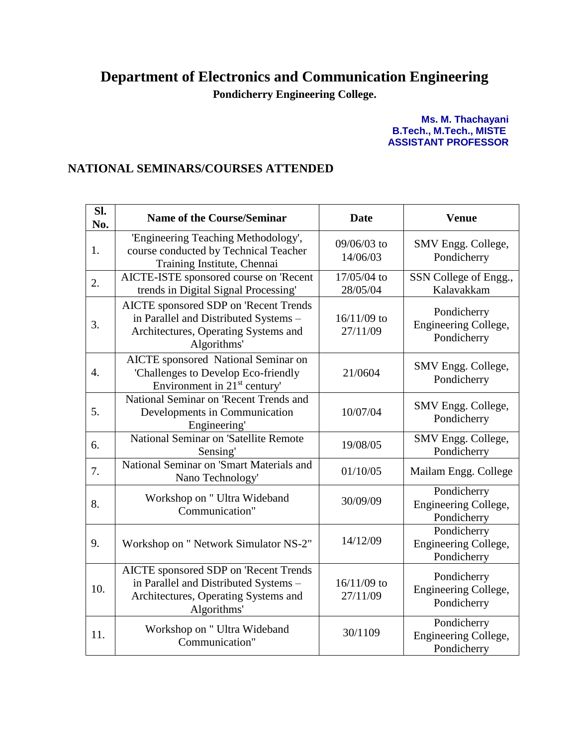## **Department of Electronics and Communication Engineering**

**Pondicherry Engineering College.**

**Ms. M. Thachayani B.Tech., M.Tech., MISTE ASSISTANT PROFESSOR**

## **NATIONAL SEMINARS/COURSES ATTENDED**

| Sl.<br>No. | <b>Name of the Course/Seminar</b>                                                                                                     | <b>Date</b>               | <b>Venue</b>                                       |
|------------|---------------------------------------------------------------------------------------------------------------------------------------|---------------------------|----------------------------------------------------|
| 1.         | 'Engineering Teaching Methodology',<br>course conducted by Technical Teacher<br>Training Institute, Chennai                           | 09/06/03 to<br>14/06/03   | SMV Engg. College,<br>Pondicherry                  |
| 2.         | AICTE-ISTE sponsored course on 'Recent<br>trends in Digital Signal Processing'                                                        | 17/05/04 to<br>28/05/04   | SSN College of Engg.,<br>Kalavakkam                |
| 3.         | AICTE sponsored SDP on 'Recent Trends<br>in Parallel and Distributed Systems -<br>Architectures, Operating Systems and<br>Algorithms' | 16/11/09 to<br>27/11/09   | Pondicherry<br>Engineering College,<br>Pondicherry |
| 4.         | <b>AICTE</b> sponsored National Seminar on<br>'Challenges to Develop Eco-friendly<br>Environment in 21 <sup>st</sup> century'         | 21/0604                   | SMV Engg. College,<br>Pondicherry                  |
| 5.         | National Seminar on 'Recent Trends and<br>Developments in Communication<br>Engineering'                                               | 10/07/04                  | SMV Engg. College,<br>Pondicherry                  |
| 6.         | National Seminar on 'Satellite Remote<br>Sensing'                                                                                     | 19/08/05                  | SMV Engg. College,<br>Pondicherry                  |
| 7.         | National Seminar on 'Smart Materials and<br>Nano Technology'                                                                          | 01/10/05                  | Mailam Engg. College                               |
| 8.         | Workshop on " Ultra Wideband<br>Communication"                                                                                        | 30/09/09                  | Pondicherry<br>Engineering College,<br>Pondicherry |
| 9.         | Workshop on " Network Simulator NS-2"                                                                                                 | 14/12/09                  | Pondicherry<br>Engineering College,<br>Pondicherry |
| 10.        | AICTE sponsored SDP on 'Recent Trends<br>in Parallel and Distributed Systems -<br>Architectures, Operating Systems and<br>Algorithms' | $16/11/09$ to<br>27/11/09 | Pondicherry<br>Engineering College,<br>Pondicherry |
| 11.        | Workshop on " Ultra Wideband<br>Communication"                                                                                        | 30/1109                   | Pondicherry<br>Engineering College,<br>Pondicherry |